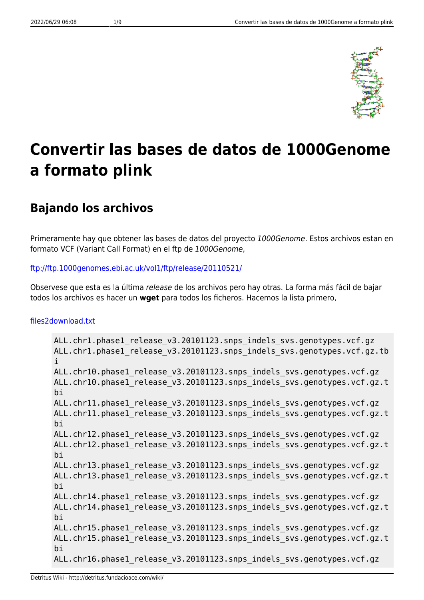

# **Convertir las bases de datos de 1000Genome a formato plink**

# **Bajando los archivos**

Primeramente hay que obtener las bases de datos del proyecto 1000Genome. Estos archivos estan en formato VCF (Variant Call Format) en el ftp de 1000Genome,

#### <ftp://ftp.1000genomes.ebi.ac.uk/vol1/ftp/release/20110521/>

Observese que esta es la última release de los archivos pero hay otras. La forma más fácil de bajar todos los archivos es hacer un **wget** para todos los ficheros. Hacemos la lista primero,

#### [files2download.txt](http://detritus.fundacioace.com/wiki/doku.php?do=export_code&id=genetica:pre_1kg&codeblock=0)

```
ALL.chr1.phase1_release_v3.20101123.snps_indels_svs.genotypes.vcf.gz
ALL.chr1.phase1 release v3.20101123.snps indels svs.genotypes.vcf.gz.tb
i
ALL.chr10.phase1 release v3.20101123.snps indels svs.genotypes.vcf.gz
ALL.chr10.phase1 release v3.20101123.snps indels svs.genotypes.vcf.gz.t
bi
ALL.chr11.phase1 release v3.20101123.snps indels svs.genotypes.vcf.gz
ALL.chr11.phase1 release v3.20101123.snps indels svs.genotypes.vcf.gz.t
bi
ALL.chr12.phase1 release v3.20101123.snps indels svs.genotypes.vcf.gz
ALL.chr12.phase1 release v3.20101123.snps indels svs.genotypes.vcf.gz.t
bi
ALL.chr13.phase1 release v3.20101123.snps indels svs.genotypes.vcf.gz
ALL.chr13.phase1 release v3.20101123.snps indels svs.genotypes.vcf.gz.t
bi
ALL.chr14.phase1 release v3.20101123.snps indels svs.genotypes.vcf.gz
ALL.chr14.phase1 release v3.20101123.snps indels svs.genotypes.vcf.gz.t
bi
ALL.chr15.phase1 release v3.20101123.snps indels svs.genotypes.vcf.gz
ALL.chr15.phase1 release v3.20101123.snps indels svs.genotypes.vcf.gz.t
bi
ALL.chr16.phase1 release v3.20101123.snps indels svs.genotypes.vcf.gz
```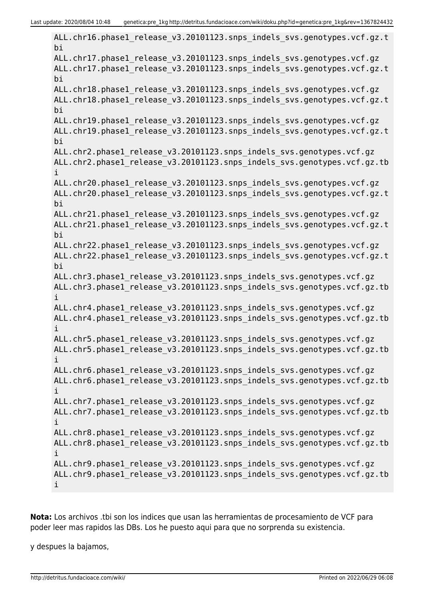ALL.chr16.phase1 release v3.20101123.snps indels svs.genotypes.vcf.gz.t bi ALL.chr17.phase1 release v3.20101123.snps indels svs.genotypes.vcf.gz ALL.chr17.phase1 release v3.20101123.snps indels svs.genotypes.vcf.gz.t bi ALL.chr18.phase1 release v3.20101123.snps indels svs.genotypes.vcf.gz ALL.chr18.phase1\_release\_v3.20101123.snps\_indels\_svs.genotypes.vcf.gz.t bi ALL.chr19.phase1 release v3.20101123.snps indels svs.genotypes.vcf.gz ALL.chr19.phase1 release v3.20101123.snps indels svs.genotypes.vcf.gz.t bi ALL.chr2.phase1\_release\_v3.20101123.snps\_indels\_svs.genotypes.vcf.gz ALL.chr2.phase1 release v3.20101123.snps indels svs.genotypes.vcf.gz.tb i ALL.chr20.phase1 release v3.20101123.snps indels svs.genotypes.vcf.gz ALL.chr20.phase1 release v3.20101123.snps indels svs.genotypes.vcf.gz.t bi ALL.chr21.phase1 release v3.20101123.snps indels svs.genotypes.vcf.gz ALL.chr21.phase1 release v3.20101123.snps indels svs.genotypes.vcf.gz.t bi ALL.chr22.phase1 release v3.20101123.snps indels svs.genotypes.vcf.gz ALL.chr22.phase1 release v3.20101123.snps indels svs.genotypes.vcf.gz.t bi ALL.chr3.phase1 release v3.20101123.snps indels svs.genotypes.vcf.gz ALL.chr3.phase1\_release\_v3.20101123.snps\_indels\_svs.genotypes.vcf.gz.tb i ALL.chr4.phase1 release v3.20101123.snps indels svs.genotypes.vcf.gz ALL.chr4.phase1 release v3.20101123.snps indels svs.genotypes.vcf.gz.tb i ALL.chr5.phase1 release v3.20101123.snps indels svs.genotypes.vcf.gz ALL.chr5.phase1 release v3.20101123.snps indels svs.genotypes.vcf.gz.tb i ALL.chr6.phase1 release v3.20101123.snps indels svs.genotypes.vcf.gz ALL.chr6.phase1 release v3.20101123.snps indels svs.genotypes.vcf.gz.tb i ALL.chr7.phase1 release v3.20101123.snps indels svs.genotypes.vcf.gz ALL.chr7.phase1 release v3.20101123.snps indels svs.genotypes.vcf.gz.tb i ALL.chr8.phase1\_release\_v3.20101123.snps\_indels\_svs.genotypes.vcf.gz ALL.chr8.phase1\_release\_v3.20101123.snps\_indels\_svs.genotypes.vcf.gz.tb i ALL.chr9.phase1 release v3.20101123.snps indels svs.genotypes.vcf.gz ALL.chr9.phase1 release v3.20101123.snps indels svs.genotypes.vcf.gz.tb i

**Nota:** Los archivos .tbi son los indices que usan las herramientas de procesamiento de VCF para poder leer mas rapidos las DBs. Los he puesto aqui para que no sorprenda su existencia.

y despues la bajamos,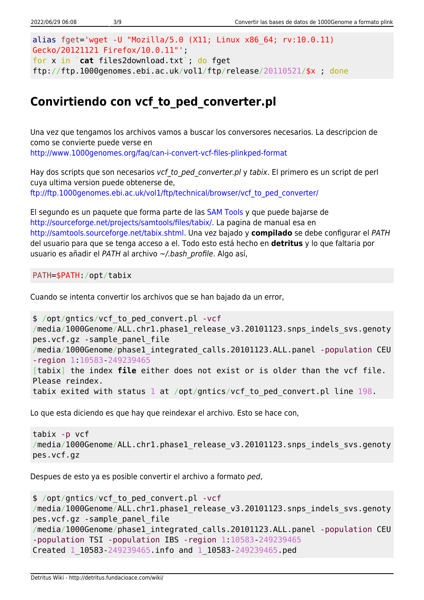```
alias fget='wget -U "Mozilla/5.0 (X11; Linux x86_64; rv:10.0.11)
Gecko/20121121 Firefox/10.0.11"';
for x in `cat files2download.txt`; do fget
ftp://ftp.1000genomes.ebi.ac.uk/vol1/ftp/release/20110521/$x ; done
```
# **Convirtiendo con vcf\_to\_ped\_converter.pl**

Una vez que tengamos los archivos vamos a buscar los conversores necesarios. La descripcion de como se convierte puede verse en <http://www.1000genomes.org/faq/can-i-convert-vcf-files-plinkped-format>

Hay dos scripts que son necesarios vcf to ped converter.pl y tabix. El primero es un script de perl cuya ultima version puede obtenerse de, [ftp://ftp.1000genomes.ebi.ac.uk/vol1/ftp/technical/browser/vcf\\_to\\_ped\\_converter/](ftp://ftp.1000genomes.ebi.ac.uk/vol1/ftp/technical/browser/vcf_to_ped_converter/)

El segundo es un paquete que forma parte de las [SAM Tools](http://samtools.sourceforge.net/) y que puede bajarse de [http://sourceforge.net/projects/samtools/files/tabix/.](http://sourceforge.net/projects/samtools/files/tabix/) La pagina de manual esa en <http://samtools.sourceforge.net/tabix.shtml>. Una vez bajado y **compilado** se debe configurar el PATH del usuario para que se tenga acceso a el. Todo esto está hecho en **detritus** y lo que faltaria por usuario es añadir el PATH al archivo ~/.bash profile. Algo así,

PATH=\$PATH:/opt/tabix

Cuando se intenta convertir los archivos que se han bajado da un error,

```
$ /opt/gntics/vcf_to_ped_convert.pl -vcf
/media/1000Genome/ALL.chr1.phase1 release v3.20101123.snps indels svs.genoty
pes.vcf.gz -sample_panel_file
/media/1000Genome/phase1_integrated_calls.20101123.ALL.panel -population CEU
-region 1:10583-249239465
[tabix] the index file either does not exist or is older than the vcf file.
Please reindex.
tabix exited with status 1 at /opt/gntics/vcf_to_ped_convert.pl line 198.
```
Lo que esta diciendo es que hay que reindexar el archivo. Esto se hace con,

```
tabix -p vcf
/media/1000Genome/ALL.chr1.phase1 release v3.20101123.snps indels svs.genoty
pes.vcf.gz
```
Despues de esto ya es posible convertir el archivo a formato ped,

```
$ /opt/gntics/vcf_to_ped_convert.pl -vcf
/media/1000Genome/ALL.chr1.phase1 release v3.20101123.snps indels svs.genoty
pes.vcf.gz -sample_panel_file
/media/1000Genome/phase1_integrated_calls.20101123.ALL.panel -population CEU
-population TSI -population IBS -region 1:10583-249239465
Created 1_10583-249239465.info and 1_10583-249239465.ped
```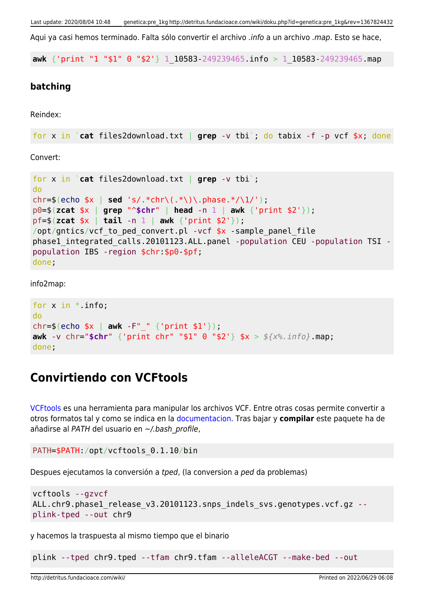Aqui ya casi hemos terminado. Falta sólo convertir el archivo .info a un archivo .map. Esto se hace,

**awk** {'print "1 "\$1" 0 "\$2'} 1\_10583-249239465.info > 1\_10583-249239465.map

#### **batching**

Reindex:

```
for x in `cat files2download.txt | grep -v tbi`; do tabix -f -p vcf $x; done
```
Convert:

```
for x in `cat files2download.txt | grep -v tbi`;
do
chr=$(echo $x | sed 's/.*chr\(.*\)\.phase.*/\1/');
p0=$(zcat $x | grep "^$chr" | head -n 1 | awk {'print $2'});
pf=$(zcat $x | tail -n 1 | awk {'print $2'});
/opt/gntics/vcf to ped convert.pl -vcf *x -sample panel file
phase1_integrated_calls.20101123.ALL.panel -population CEU -population TSI -
population IBS -region $chr:$p0-$pf;
done;
```
info2map:

```
for x in *. info;
do
chr=$(echo $x | awk -F"_" {'print $1'});
awk -v chr="$chr" {'print chr" "$1" 0 "$2'} $x > ${x%.info}.map;
done;
```
### **Convirtiendo con VCFtools**

[VCFtools](http://vcftools.sourceforge.net/index.html) es una herramienta para manipular los archivos VCF. Entre otras cosas permite convertir a otros formatos tal y como se indica en la [documentacion.](http://vcftools.sourceforge.net/options.html) Tras bajar y **compilar** este paquete ha de añadirse al PATH del usuario en ~/.bash\_profile,

```
PATH=$PATH:/opt/vcftools_0.1.10/bin
```
Despues ejecutamos la conversión a tped, (la conversion a ped da problemas)

```
vcftools --gzvcf
ALL.chr9.phase1_release_v3.20101123.snps_indels_svs.genotypes.vcf.gz --
plink-tped --out chr9
```
y hacemos la traspuesta al mismo tiempo que el binario

plink --tped chr9.tped --tfam chr9.tfam --alleleACGT --make-bed --out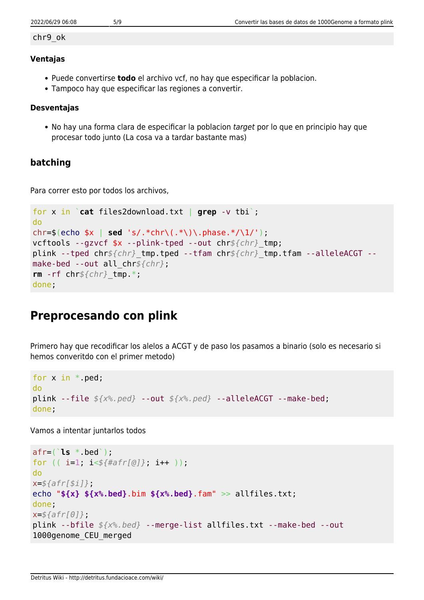#### chr9\_ok

#### **Ventajas**

- Puede convertirse **todo** el archivo vcf, no hay que especificar la poblacion.
- Tampoco hay que especificar las regiones a convertir.

#### **Desventajas**

• No hay una forma clara de especificar la poblacion target por lo que en principio hay que procesar todo junto (La cosa va a tardar bastante mas)

### **batching**

Para correr esto por todos los archivos,

```
for x in `cat files2download.txt | grep -v tbi`;
do
chr=$(echo $x | sed 's/.*chr\(.*\)\.phase.*/\1/');
vcftools --gzvcf $x --plink-tped --out chr${chr}_tmp;
plink --tped chr${chr}_tmp.tped --tfam chr${chr}_tmp.tfam --alleleACGT --
make-bed --out all_chr${chr};
rm -rf chr${chr}_tmp.*;
done;
```
# **Preprocesando con plink**

Primero hay que recodificar los alelos a ACGT y de paso los pasamos a binario (solo es necesario si hemos converitdo con el primer metodo)

```
for x in *.ped;
do
plink --file ${x%.ped} --out ${x%.ped} --alleleACGT --make-bed;
done;
```
Vamos a intentar juntarlos todos

```
afr=(`ls *.bed`);
for (( i=1; i<${#afr[@]}; i++ ));
do
x=${afr[$i]};
echo "${x} ${x%.bed}.bim ${x%.bed}.fam" >> allfiles.txt;
done;
x=${afr[0]};
plink --bfile ${x%.bed} --merge-list allfiles.txt --make-bed --out
1000genome_CEU_merged
```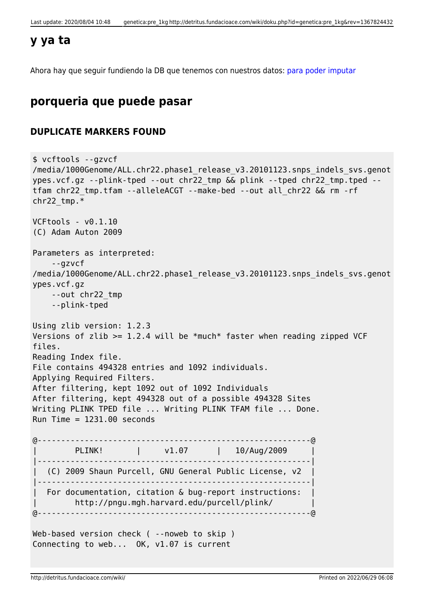### **y ya ta**

Ahora hay que seguir fundiendo la DB que tenemos con nuestros datos: [para poder imputar](http://detritus.fundacioace.com/wiki/doku.php?id=genetica:plink_1kg_impute)

## **porqueria que puede pasar**

### **DUPLICATE MARKERS FOUND**

```
$ vcftools --gzvcf
/media/1000Genome/ALL.chr22.phase1 release v3.20101123.snps indels svs.genot
ypes.vcf.gz --plink-tped --out chr22_tmp && plink --tped chr22_tmp.tped --
tfam chr22_tmp.tfam --alleleACGT --make-bed --out all_chr22 && rm -rf
chr22 tmp.*VCFtools - v0.1.10
(C) Adam Auton 2009
Parameters as interpreted:
     --gzvcf
/media/1000Genome/ALL.chr22.phase1_release_v3.20101123.snps_indels_svs.genot
ypes.vcf.gz
    --out chr22_tmp
     --plink-tped
Using zlib version: 1.2.3
Versions of zlib >= 1.2.4 will be *much* faster when reading zipped VCF
files.
Reading Index file.
File contains 494328 entries and 1092 individuals.
Applying Required Filters.
After filtering, kept 1092 out of 1092 Individuals
After filtering, kept 494328 out of a possible 494328 Sites
Writing PLINK TPED file ... Writing PLINK TFAM file ... Done.
Run Time = 1231.00 seconds
@----------------------------------------------------------@
       | PLINK! | v1.07 | 10/Aug/2009 |
|----------------------------------------------------------|
| (C) 2009 Shaun Purcell, GNU General Public License, v2 |
|----------------------------------------------------------|
   For documentation, citation & bug-report instructions:
        | http://pngu.mgh.harvard.edu/purcell/plink/ |
@----------------------------------------------------------@
Web-based version check ( --noweb to skip )
Connecting to web... OK, v1.07 is current
```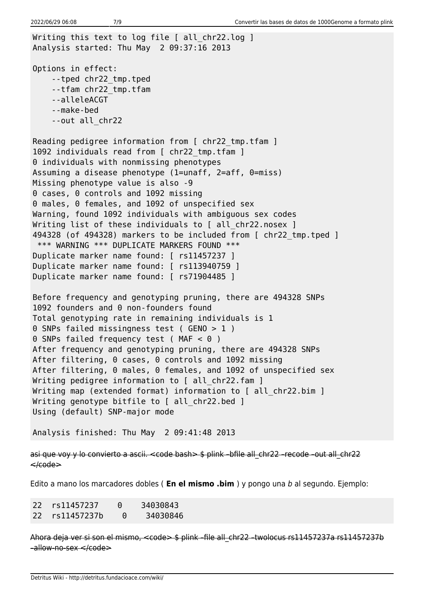Writing this text to log file [ all chr22.log ] Analysis started: Thu May 2 09:37:16 2013 Options in effect: --tped chr22\_tmp.tped --tfam chr22\_tmp.tfam --alleleACGT --make-bed --out all\_chr22 Reading pedigree information from [ chr22 tmp.tfam ] 1092 individuals read from [ chr22 tmp.tfam ] 0 individuals with nonmissing phenotypes Assuming a disease phenotype (1=unaff, 2=aff, 0=miss) Missing phenotype value is also -9 0 cases, 0 controls and 1092 missing 0 males, 0 females, and 1092 of unspecified sex Warning, found 1092 individuals with ambiguous sex codes Writing list of these individuals to [ all chr22.nosex ] 494328 (of 494328) markers to be included from [ chr22\_tmp.tped ] \*\*\* WARNING \*\*\* DUPLICATE MARKERS FOUND \*\*\* Duplicate marker name found: [ rs11457237 ] Duplicate marker name found: [ rs113940759 ] Duplicate marker name found: [ rs71904485 ] Before frequency and genotyping pruning, there are 494328 SNPs 1092 founders and 0 non-founders found Total genotyping rate in remaining individuals is 1 0 SNPs failed missingness test ( GENO > 1 ) 0 SNPs failed frequency test ( MAF < 0 ) After frequency and genotyping pruning, there are 494328 SNPs After filtering, 0 cases, 0 controls and 1092 missing After filtering, 0 males, 0 females, and 1092 of unspecified sex Writing pedigree information to [ all\_chr22.fam ] Writing map (extended format) information to [ all chr22.bim ] Writing genotype bitfile to [ all chr22.bed ] Using (default) SNP-major mode Analysis finished: Thu May 2 09:41:48 2013

asi que voy y lo convierto a ascii. <code bash> \$ plink –bfile all\_chr22 –recode –out all\_chr22  $\leq$  $\leq$ 

Edito a mano los marcadores dobles ( **En el mismo .bim** ) y pongo una b al segundo. Ejemplo:

| 22 rs11457237  | $\Theta$ | 34030843 |
|----------------|----------|----------|
| 22 rs11457237b | - 0      | 34030846 |

Ahora deja ver si son el mismo, <code> \$ plink - file all chr22 -twolocus rs11457237a rs11457237b –allow-no-sex </code>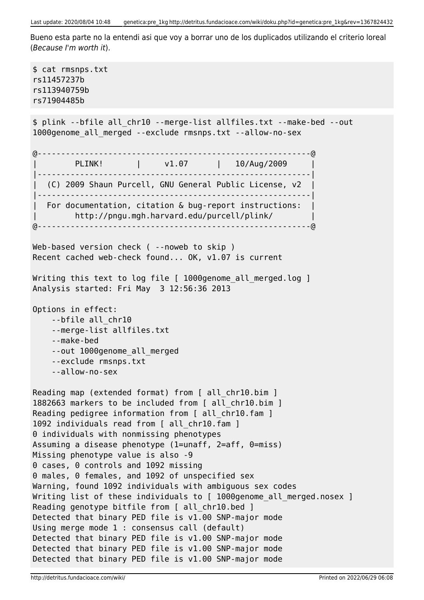Bueno esta parte no la entendi asi que voy a borrar uno de los duplicados utilizando el criterio loreal (Because I'm worth it).

```
$ cat rmsnps.txt
rs11457237b
rs113940759b
rs71904485b
$ plink --bfile all_chr10 --merge-list allfiles.txt --make-bed --out
1000genome_all_merged --exclude rmsnps.txt --allow-no-sex
@----------------------------------------------------------@
        PLINK! | v1.07 | 10/Aug/2009
|----------------------------------------------------------|
| (C) 2009 Shaun Purcell, GNU General Public License, v2 |
|----------------------------------------------------------|
| For documentation, citation & bug-report instructions: |
         | http://pngu.mgh.harvard.edu/purcell/plink/ |
@----------------------------------------------------------@
Web-based version check ( --noweb to skip )
Recent cached web-check found... OK, v1.07 is current
Writing this text to log file [ 1000genome all merged.log ]
Analysis started: Fri May 3 12:56:36 2013
Options in effect:
     --bfile all_chr10
     --merge-list allfiles.txt
     --make-bed
     --out 1000genome_all_merged
     --exclude rmsnps.txt
     --allow-no-sex
Reading map (extended format) from [ all_chr10.bim ]
1882663 markers to be included from [ all_chr10.bim ]
Reading pedigree information from [ all chr10.fam ]
1092 individuals read from [ all_chr10.fam ]
0 individuals with nonmissing phenotypes
Assuming a disease phenotype (1=unaff, 2=aff, 0=miss)
Missing phenotype value is also -9
0 cases, 0 controls and 1092 missing
0 males, 0 females, and 1092 of unspecified sex
Warning, found 1092 individuals with ambiguous sex codes
Writing list of these individuals to [ 1000genome all merged.nosex ]
Reading genotype bitfile from [ all chr10.bed ]
Detected that binary PED file is v1.00 SNP-major mode
Using merge mode 1 : consensus call (default)
Detected that binary PED file is v1.00 SNP-major mode
Detected that binary PED file is v1.00 SNP-major mode
Detected that binary PED file is v1.00 SNP-major mode
```